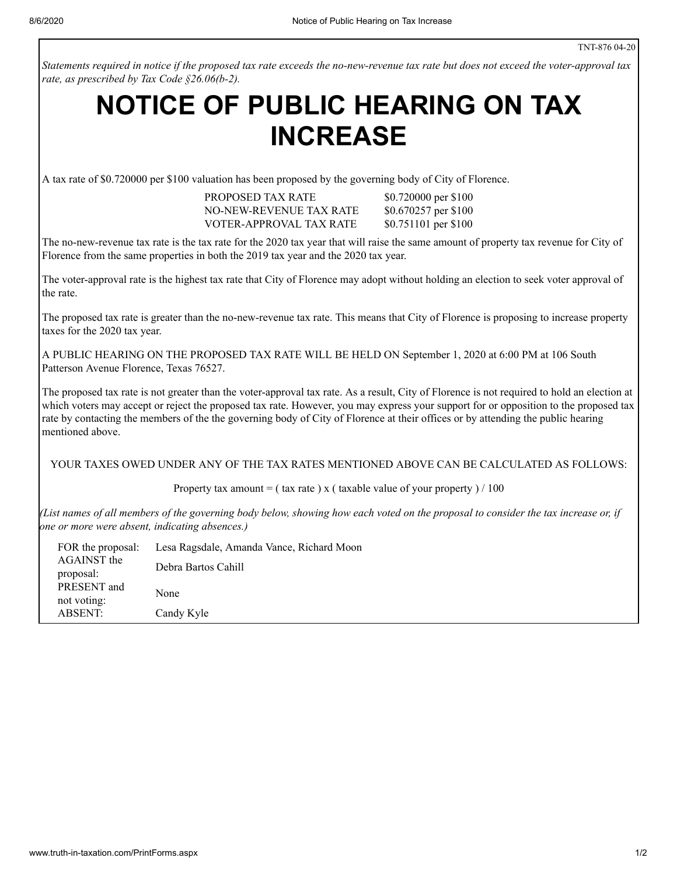Statements required in notice if the proposed tax rate exceeds the no-new-revenue tax rate but does not exceed the voter-approval tax *rate, as prescribed by Tax Code §26.06(b-2).*

## **NOTICE OF PUBLIC HEARING ON TAX INCREASE**

A tax rate of \$0.720000 per \$100 valuation has been proposed by the governing body of City of Florence.

PROPOSED TAX RATE \$0.720000 per \$100 NO-NEW-REVENUE TAX RATE \$0.670257 per \$100 VOTER-APPROVAL TAX RATE \$0.751101 per \$100

The no-new-revenue tax rate is the tax rate for the 2020 tax year that will raise the same amount of property tax revenue for City of Florence from the same properties in both the 2019 tax year and the 2020 tax year.

The voter-approval rate is the highest tax rate that City of Florence may adopt without holding an election to seek voter approval of the rate.

The proposed tax rate is greater than the no-new-revenue tax rate. This means that City of Florence is proposing to increase property taxes for the 2020 tax year.

A PUBLIC HEARING ON THE PROPOSED TAX RATE WILL BE HELD ON September 1, 2020 at 6:00 PM at 106 South Patterson Avenue Florence, Texas 76527.

The proposed tax rate is not greater than the voter-approval tax rate. As a result, City of Florence is not required to hold an election at which voters may accept or reject the proposed tax rate. However, you may express your support for or opposition to the proposed tax rate by contacting the members of the the governing body of City of Florence at their offices or by attending the public hearing mentioned above.

YOUR TAXES OWED UNDER ANY OF THE TAX RATES MENTIONED ABOVE CAN BE CALCULATED AS FOLLOWS:

Property tax amount = ( tax rate ) x ( taxable value of your property ) / 100

(List names of all members of the governing body below, showing how each voted on the proposal to consider the tax increase or, if *one or more were absent, indicating absences.)*

| FOR the proposal: | Lesa Ragsdale, Amanda Vance, Richard Moon |  |
|-------------------|-------------------------------------------|--|
| AGAINST the       | Debra Bartos Cahill                       |  |
| proposal:         |                                           |  |
| PRESENT and       | None                                      |  |
| not voting:       |                                           |  |
| <b>ABSENT:</b>    | Candy Kyle                                |  |